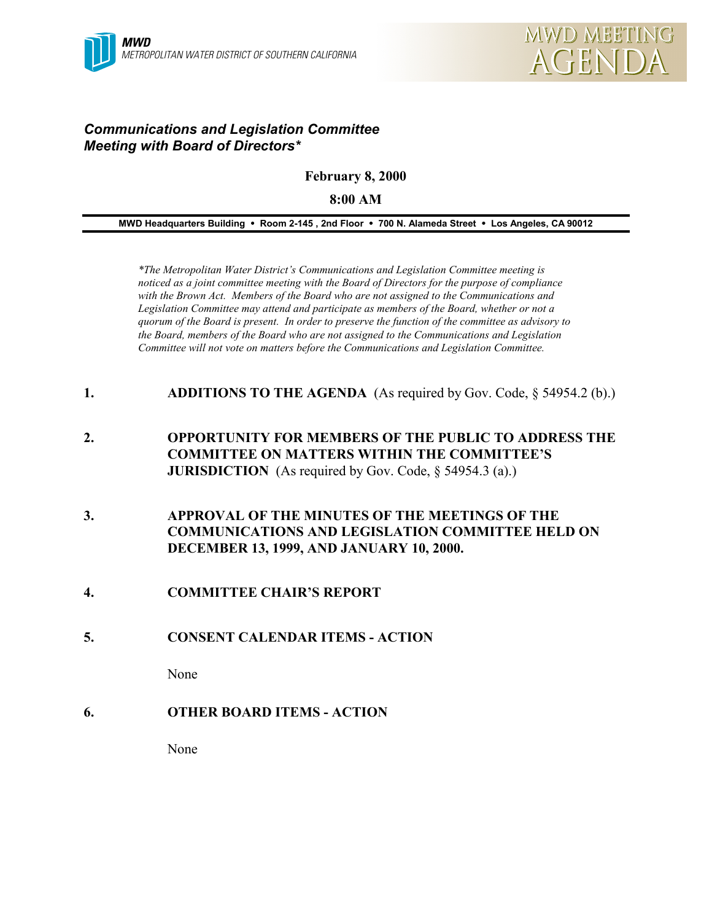

## *Communications and Legislation Committee Meeting with Board of Directors\**

**February 8, 2000**

**8:00 AM**

**MWD Headquarters Building** ! **Room 2-145 , 2nd Floor** ! **700 N. Alameda Street** ! **Los Angeles, CA 90012**

*\*The Metropolitan Water District's Communications and Legislation Committee meeting is noticed as a joint committee meeting with the Board of Directors for the purpose of compliance with the Brown Act. Members of the Board who are not assigned to the Communications and Legislation Committee may attend and participate as members of the Board, whether or not a quorum of the Board is present. In order to preserve the function of the committee as advisory to the Board, members of the Board who are not assigned to the Communications and Legislation Committee will not vote on matters before the Communications and Legislation Committee.*

- **1. ADDITIONS TO THE AGENDA** (As required by Gov. Code, § 54954.2 (b).)
- **2. OPPORTUNITY FOR MEMBERS OF THE PUBLIC TO ADDRESS THE COMMITTEE ON MATTERS WITHIN THE COMMITTEE'S JURISDICTION** (As required by Gov. Code, § 54954.3 (a).)
- **3. APPROVAL OF THE MINUTES OF THE MEETINGS OF THE COMMUNICATIONS AND LEGISLATION COMMITTEE HELD ON DECEMBER 13, 1999, AND JANUARY 10, 2000.**
- **4. COMMITTEE CHAIR'S REPORT**
- **5. CONSENT CALENDAR ITEMS ACTION**

None

**6. OTHER BOARD ITEMS - ACTION**

None